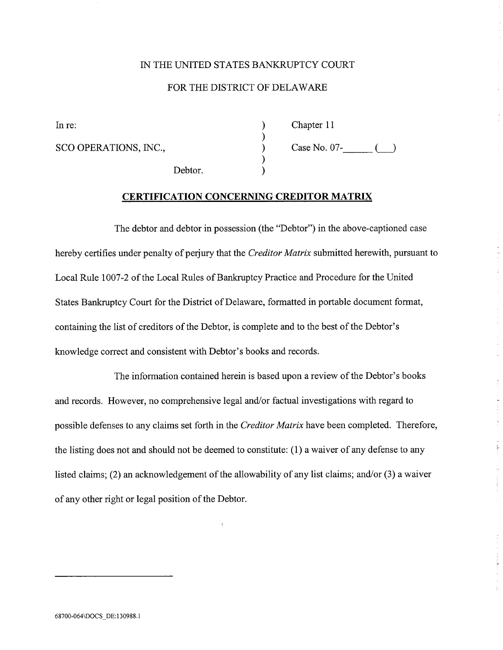## IN THE UNITED STATES BANKRUPTCY COURT

# FOR THE DISTRICT OF DELAWAR

) ) ) ) )

In re: Chapter 11

Debtor.

Case No. 07- SCO OPERATIONS, INC., LJ

į.

# CERTIFICATION CONCERNING CREDITOR MATRIX

The debtor and debtor in possession (the "Debtor") in the above-captioned case hereby certifies under penalty of perjury that the Creditor Matrix submitted herewith, pursuant to Local Rule 1007-2 of the Local Rules of Bankruptcy Practice and Procedure for the United States Bankruptcy Court for the District of Delaware, formatted in portable document format, containing the list of creditors of the Debtor, is complete and to the best of the Debtor's knowledge correct and consistent with Debtor's books and records.

The information contained herein is based upon a review of the Debtor's books and records. However, no comprehensive legal and/or factual investigations with regard to possible defenses to any claims set forth in the *Creditor Matrix* have been completed. Therefore, the listing does not and should not be deemed to constitute:  $(1)$  a waiver of any defense to any listed claims; (2) an acknowledgement of the allowability of any list claims; and/or (3) a waiver of any other right or legal position of the Debtor.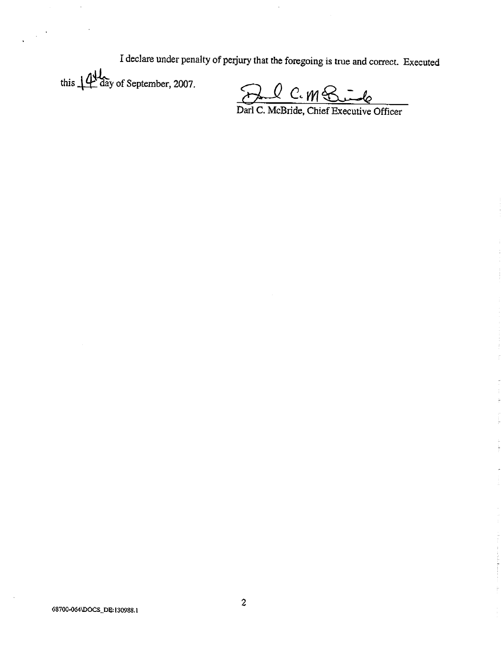I declare under penalty of perjury that the foregoing is true and corrct. Executed this  $\mathbf{14}$  day of September, 2007.

<u>Al C. M. Suide</u><br>Darl C. McBride, Chief Executive Officer

 $\mathcal{L}_{\mathcal{A}}$  and  $\mathcal{L}_{\mathcal{A}}$  are the following and  $\mathcal{L}_{\mathcal{A}}$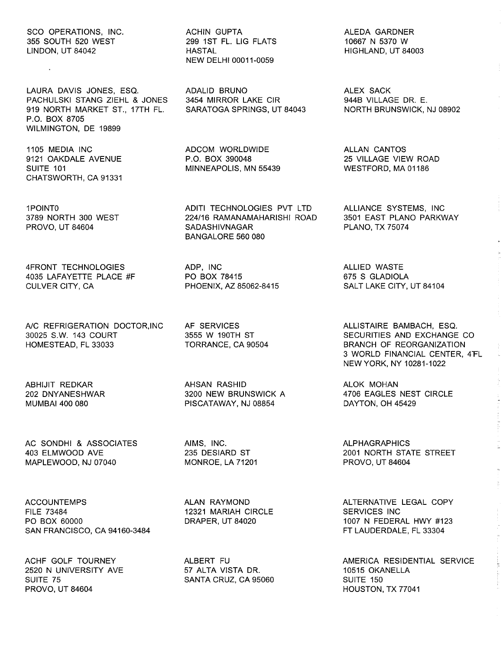#### SCO OPERATIONS, INC. 355 SOUTH 520 WEST LINDON, UT 84042

LAURA DAVIS JONES, ESQ. PACHULSKI STANG ZIEHL & JONES 919 NORTH MARKET ST., 17TH FL. P.O. BOX 8705 WILMINGTON, DE 19899

1105 MEDIA INC 9121 OAKDALE AVENUE SUITE 101 CHATSWORTH, CA 91331

1POINTO 3789 NORTH 300 WEST PROVO, UT 84604

4FRONT TECHNOLOGIES 4035 LAFAYETTE PLACE #F CULVER CITY, CA

A/C REFRIGERATION DOCTOR, INC. 30025 S.W. 143 COURT HOMESTEAD, FL 33033

ABHIJIT REDKAR 202 DNY ANESHWAR MUMBAI 400 080

AC SONDHI & ASSOCIATES 403 ELMWOOD AVE MAPLEWOOD, NJ 07040

ACCOUNTEMPS FILE 73484 PO BOX 60000 SAN FRANCISCO, CA 94160-3484

ACHF GOLF TOURNEY 2520 N UNIVERSITY AVE SUITE 75 PROVO, UT 84604

ACHIN GUPTA 299 1ST FL. LIG FLATS **HASTAL** NEW DELHI 00011-0059

ADALID BRUNO 3454 MIRROR LAKE CIR SARATOGA SPRINGS, UT 84043

ADCOM WORLDWIDE P.O. BOX 390048 MINNEAPOLIS, MN 55439

ADITI TECHNOLOGIES PVT LTD 224/16 RAMANAMAHARISHI ROAD **SADASHIVNAGAR** BANGALORE 560 080

ADP, INC PO BOX 78415 PHOENIX, AZ 85062-8415

AF SERVICES 3555 W 190TH ST TORRANCE, CA 90504

AHSAN RASHID 3200 NEW BRUNSWICK A PISCATAWAY, NJ 08854

AIMS, INC. 235 DESIARD ST MONROE, LA 71201

ALAN RAYMOND 12321 MARIAH CIRCLE DRAPER, UT 84020

ALBERT FU 57 ALTA VISTA DR. SANTA CRUZ, CA 95060 ALEDA GARDNER 10667 N 5370 W HIGHLAND, UT 84003

ALEX SACK 944B VILLAGE DR. E. NORTH BRUNSWICK, NJ 08902

ALLAN CANTOS 25 VILLAGE VIEW ROAD WESTFORD, MA 01186

ALLIANCE SYSTEMS, INC 3501 EAST PLANO PARKWAY PLANO, TX 75074

ALLIED WASTE 675 S GLADIOLA SALT LAKE CITY, UT 84104

ALLISTAIRE BAMBACH, ESQ. SECURITIES AND EXCHANGE CO BRANCH OF REORGANIZATION 3 WORLD FINANCIAL CENTER, 4FL NEW YORK, NY 10281-1022

ALOK MOHAN 4706 EAGLES NEST CIRCLE DAYTON, OH 45429

ALPHAGRAPHICS 2001 NORTH STATE STREET PROVO, UT 84604

ALTERNATIVE LEGAL COpy SERVICES INC 1007 N FEDERAL HWY #123 FT LAUDERDALE, FL 33304

AMERICA RESIDENTIAL SERVICE 10515 OKANELLA SUITE 150 HOUSTON, TX 77041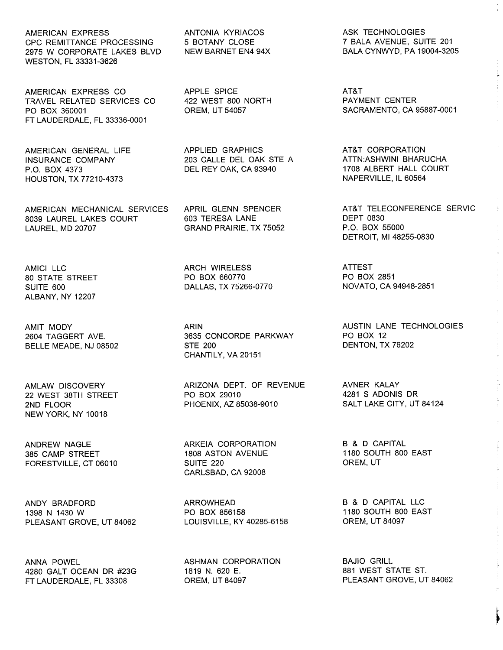AMERICAN EXPRESS ANTONIA KYRIACOS ASK TECHNOLOGIES CPC REMITTANCE PROCESSING 5 BOTANY CLOSE 7 BALA AVENUE, SUITE 201<br>2975 W CORPORATE LAKES BLVD NEW BARNET EN4 94X BALA CYNWYD, PA 19004-3205 2975 W CORPORATE LAKES BLVD WESTON, FL 33331-3626

AMERICAN EXPRESS CO APPLE SPICE AT&T TRAVEL RELATED SERVICES CO 422 WEST 800 N<br>PO BOX 360001 0REM, UT 54057 PO BOX 360001 OREM, UT 54057 SACRAMENTO, CA 95887-0001 FT LAUDERDALE, FL 33336-0001

HOUSTON, TX 77210-4373

AMERICAN MECHANICAL SERVICES APRIL GLENN SPENCER AT&T TELECONFERENCE SERVIC<br>
8039 LAUREL LAKES COURT 603 TERESA LANE DEPT 0830 8039 LAUREL LAKES COURT 603 TERESA LANE DEPT 0830 LAUREL, MD 20707 GRAND PRAIRIE, TX 75052

ALBANY, NY 12207

BELLE MEADE, NJ 08502

NEW YORK, NY 10018

FORESTVILLE, CT 06010

ANDY BRADFORD ARROWHEAD B & D CAPITAL LLC PLEASANT GROVE, UT 84062

ANNA POWEL 4280 GALT OCEAN DR #23G FT LAUDERDALE, FL 33308

AMERICAN GENERAL LIFE APPLIED GRAPHICS AT&T CORPORATION 203 CALLE DEL OAK STE A

AMICI LLC ARCH WIRELESS ATTEST DALLAS, TX 75266-0770

> 2635 CONCORDE PARKWAY PO BOX 12<br>26202 TAGGER 200 CHANTILY, VA 20151

AMLAW DISCOVERY ARIZONA DEPT. OF REVENUE AVNER KALAY 22 WEST 38TH STREET PO BOX 29010 4281 S ADONIS DR 2ND FLOOR PHOENIX, AZ 85038-9010

> 1808 ASTON AVENUE 1180 SOUTH 800 ASTON AVENUE 1180 SOUTH 800 EAST 1180 SOUT<br>SUITE 220 CARLSBAD, CA 92008

PO BOX 856158 1180 SOUTH 800 EAST<br>LOUISVILLE, KY 40285-6158 CREM, UT 84097

ASHMAN CORPORATION 1819 N. 620 E. OREM, UT 84097

P.O. BOX 4373 DEL REY OAK, CA 93940 1708 ALBERT HALL COURT

DETROIT, MI 48255-0830

80 STATE STREET PO BOX 660770 PO BOX 2851

AMIT MODY ARIN AUSTIN LANE TECHNOLOGIES

ANDREW NAGLE ARKEIA CORPORATION B & D CAPITAL

BAJIO GRILL 881 WEST STATE ST. PLEASANT GROVE, UT 84062

~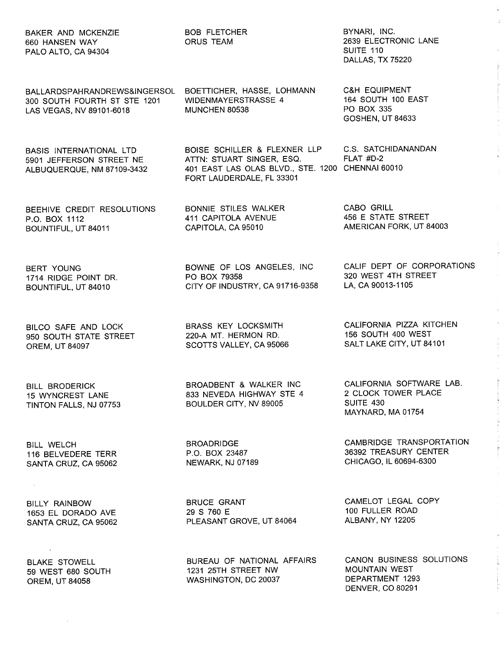| BAKER AND MCKENZIE<br>660 HANSEN WAY<br>PALO ALTO, CA 94304                              | <b>BOB FLETCHER</b><br>ORUS TEAM                                                                                                                               | BYNARI, INC.<br>2639 ELECTRONIC LANE<br>SUITE 110<br>DALLAS, TX 75220                   |
|------------------------------------------------------------------------------------------|----------------------------------------------------------------------------------------------------------------------------------------------------------------|-----------------------------------------------------------------------------------------|
| BALLARDSPAHRANDREWS&INGERSOL<br>300 SOUTH FOURTH ST STE 1201<br>LAS VEGAS, NV 89101-6018 | BOETTICHER, HASSE, LOHMANN<br>WIDENMAYERSTRASSE 4<br>MUNCHEN 80538                                                                                             | <b>C&amp;H EQUIPMENT</b><br>164 SOUTH 100 EAST<br>PO BOX 335<br><b>GOSHEN, UT 84633</b> |
| BASIS INTERNATIONAL LTD<br>5901 JEFFERSON STREET NE<br>ALBUQUERQUE, NM 87109-3432        | BOISE SCHILLER & FLEXNER LLP C.S. SATCHIDANANDAN<br>ATTN: STUART SINGER, ESQ.<br>401 EAST LAS OLAS BLVD., STE. 1200 CHENNAI 60010<br>FORT LAUDERDALE, FL 33301 | FLAT #D-2                                                                               |
| BEEHIVE CREDIT RESOLUTIONS                                                               | BONNIE STILES WALKER                                                                                                                                           | CABO GRILL                                                                              |
| P.O. BOX 1112                                                                            | 411 CAPITOLA AVENUE                                                                                                                                            | 456 E STATE STREET                                                                      |
| BOUNTIFUL, UT 84011                                                                      | CAPITOLA, CA 95010                                                                                                                                             | AMERICAN FORK, UT 84003                                                                 |
| BERT YOUNG                                                                               | BOWNE OF LOS ANGELES, INC                                                                                                                                      | CALIF DEPT OF CORPORATIONS                                                              |
| 1714 RIDGE POINT DR.                                                                     | PO BOX 79358                                                                                                                                                   | 320 WEST 4TH STREET                                                                     |
| BOUNTIFUL, UT 84010                                                                      | CITY OF INDUSTRY, CA 91716-9358                                                                                                                                | LA, CA 90013-1105                                                                       |
| BILCO SAFE AND LOCK                                                                      | BRASS KEY LOCKSMITH                                                                                                                                            | CALIFORNIA PIZZA KITCHEN                                                                |
| 950 SOUTH STATE STREET                                                                   | 220-A MT. HERMON RD.                                                                                                                                           | 156 SOUTH 400 WEST                                                                      |
| OREM, UT 84097                                                                           | SCOTTS VALLEY, CA 95066                                                                                                                                        | SALT LAKE CITY, UT 84101                                                                |
| <b>BILL BRODERICK</b><br>15 WYNCREST LANE<br>TINTON FALLS, NJ 07753                      | BROADBENT & WALKER INC<br>833 NEVEDA HIGHWAY STE 4<br>BOULDER CITY, NV 89005                                                                                   | CALIFORNIA SOFTWARE LAB.<br>2 CLOCK TOWER PLACE<br>SUITE 430<br>MAYNARD, MA 01754       |
| <b>BILL WELCH</b>                                                                        | <b>BROADRIDGE</b>                                                                                                                                              | CAMBRIDGE TRANSPORTATION                                                                |
| 116 BELVEDERE TERR                                                                       | P.O. BOX 23487                                                                                                                                                 | 36392 TREASURY CENTER                                                                   |
| SANTA CRUZ, CA 95062                                                                     | NEWARK, NJ 07189                                                                                                                                               | CHICAGO, IL 60694-6300                                                                  |
| BILLY RAINBOW                                                                            | <b>BRUCE GRANT</b>                                                                                                                                             | CAMELOT LEGAL COPY                                                                      |
| 1653 EL DORADO AVE                                                                       | 29 S 760 E                                                                                                                                                     | 100 FULLER ROAD                                                                         |
| SANTA CRUZ, CA 95062                                                                     | PLEASANT GROVE, UT 84064                                                                                                                                       | ALBANY, NY 12205                                                                        |
| <b>BLAKE STOWELL</b>                                                                     | BUREAU OF NATIONAL AFFAIRS                                                                                                                                     | CANON BUSINESS SOLUTIONS                                                                |
| 59 WEST 680 SOUTH                                                                        | 1231 25TH STREET NW                                                                                                                                            | <b>MOUNTAIN WEST</b>                                                                    |
| <b>OREM, UT 84058</b>                                                                    | WASHINGTON, DC 20037                                                                                                                                           | DEPARTMENT 1293                                                                         |

DENVER, CO 80291

ü

 $\mathbf{r}$  and  $\mathbf{r}$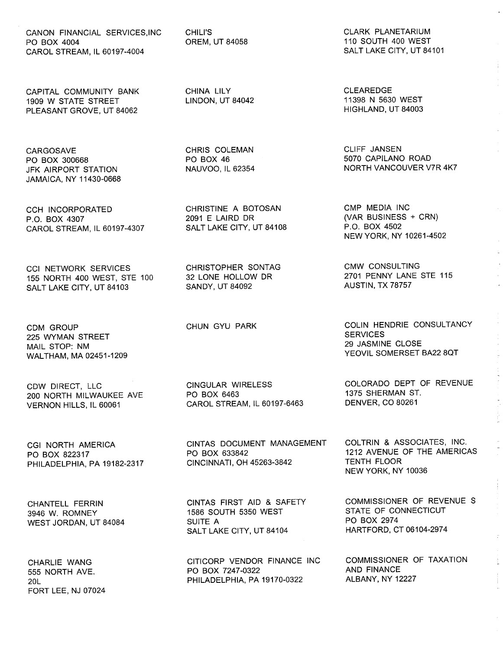CANON FINANCIAL SERVICES,INC PO BOX 4004 CAROL STREAM, IL 60197-4004

CAPITAL COMMUNITY BANK 1909 W STATE STREET PLEASANT GROVE, UT 84062

**CARGOSAVE** PO BOX 300668 JFK AIRPORT STATION JAMAICA, NY 11430-0668

CCH INCORPORATED P.O. BOX 4307 CAROL STREAM, IL 60197-4307

CCI NETWORK SERVICES 155 NORTH 400 WEST, STE 100 SALT LAKE CITY, UT 84103

CDM GROUP 225 WYMAN STREET MAIL STOP: NM WALTHAM, MA 02451-1209

CDW DIRECT, LLC 200 NORTH MILWAUKEE AVE VERNON HILLS, IL 60061

CGI NORTH AMERICA PO BOX 822317 PHILADELPHIA, PA 19182-2317

CHANTELL FERRIN 3946 W. ROMNEY WEST JORDAN, UT 84084

CHARLIE WANG 555 NORTH AVE. 20L FORT LEE, NJ 07024 CHILI'S OREM, UT 84058

CHINA LILY LINDON, UT 84042

CHRIS COLEMAN PO BOX 46 NAUVOO, IL 62354

CHRISTINE A BOTOSAN 2091 E LAIRD DR SALT LAKE CITY, UT 84108

CHRISTOPHER SONTAG 32 LONE HOLLOW DR SANDY, UT 84092

CHUN GYU PARK

CINGULAR WIRELESS PO BOX 6463 CAROL STREAM, IL 60197-6463

CINTAS DOCUMENT MANAGEMENT PO BOX 633842 CINCINNATI, OH 45263-3842

CINTAS FIRST AID & SAFETY 1586 SOUTH 5350 WEST SUITE A SALT LAKE CITY, UT 84104

CITICORP VENDOR FINANCE INC PO BOX 7247-0322 PHILADELPHIA, PA 19170-0322

CLARK PLANETARIUM 110 SOUTH 400 WEST SALT LAKE CITY, UT 84101

CLEAREDGE 11398 N 5630 WEST HIGHLAND, UT 84003

CLIFF JANSEN 5070 CAPILANO ROAD NORTH VANCOUVER V7R 4K7

CMP MEDIA INC (VAR BUSINESS + CRN) P.O. BOX 4502 NEW YORK, NY 10261-4502

CMW CONSULTING 2701 PENNY LANE STE 115 AUSTIN, TX 78757

COLIN HENDRIE CONSULTANCY **SERVICES** 29 JASMINE CLOSE YEOVIL SOMERSET BA22 8QT

COLORADO DEPT OF REVENUE 1375 SHERMAN ST. DENVER, CO 80261

COLTRIN & ASSOCIATES, INC. 1212 AVENUE OF THE AMERICAS TENTH FLOOR NEW YORK, NY 10036

COMMISSIONER OF REVENUE S STATE OF CONNECTICUT PO BOX 2974 HARTFORD, CT 06104-2974

COMMISSIONER OF TAXATION AND FINANCE ALBANY, NY 12227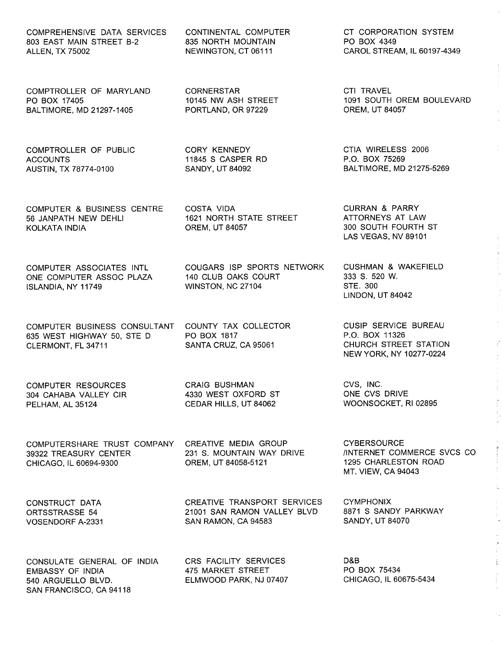COMPREHENSIVE DATA SERVICES 803 EAST MAIN STREET B-2 ALLEN, TX 75002

CONTINENTAL COMPUTER 835 NORTH MOUNTAIN NEWINGTON, CT 06111

10145 NW ASH STREET PORTLAND, OR 97229

1621 NORTH STATE STREET

140 CLUB OAKS COURT WINSTON, NC 27104

COUNTY TAX COLLECTOR

COUGARS ISP SPORTS NETWORK

**CORNERSTAR** 

CORY KENNEDY 11845 S CASPER RD SANDY, UT 84092

COSTA VIDA

PO BOX 1817

OREM, UT 84057

COMPTROLLER OF MARYLAND PO BOX 17405 BALTIMORE, MD 21297-1405

COMPTROLLER OF PUBLIC **ACCOUNTS** AUSTIN, TX 78774-0100

COMPUTER & BUSINESS CENTRE 56 JANPATH NEW DEHLI KOLKATA INDIA

COMPUTER ASSOCIATES INTL ONE COMPUTER ASSOC PLAZA ISLANDIA, NY 11749

COMPUTER BUSINESS CONSULTANT 635 WEST HIGHWAY 50, STE D CLERMONT, FL 34711

COMPUTER RESOURCES 304 CAHABA VALLEY CIR PELHAM, AL 35124

CRAIG BUSHMAN 4330 WEST OXFORD ST CEDAR HILLS, UT 84062

SANTA CRUZ, CA 95061

COMPUTERSHARE TRUST COMPANY 39322 TREASURY CENTER CHICAGO, IL 60694-9300

CREATIVE MEDIA GROUP 231 S. MOUNTAIN WAY DRIVE OREM, UT 84058-5121

CREATIVE TRANSPORT SERVICES 21001 SAN RAMON VALLEY BLVD

CONSTRUCT DATA ORTSSTRASSE 54 VOSENDORF A-2331

CONSULATE GENERAL OF INDIA EMBASSY OF INDIA 540 ARGUELLO BLVD. SAN FRANCISCO, CA 94118

CRS FACILITY SERVICES 475 MARKET STREET ELMWOOD PARK, NJ 07407

SAN RAMON, CA 94583

CT CORPORATION SYSTEM PO BOX 4349 CAROL STREAM, IL 60197-4349

CTI TRAVEL 1091 SOUTH OREM BOULEVARD OREM, UT 84057

CTIA WIRELESS 2006 P.O. BOX 75269 BALTIMORE, MD 21275-5269

CURRAN & PARRY ATTORNEYS AT LAW 300 SOUTH FOURTH ST LAS VEGAS, NV 89101

CUSHMAN & WAKEFIELD 333 S. 520 W. STE. 300 LINDON, UT 84042

CUSIP SERVICE BUREAU P.O. BOX 11326 CHURCH STREET STATION NEW YORK, NY 10277-0224

CVS, INC. ONE CVS DRIVE WOONSOCKET, RI 02895

**CYBERSOURCE** /INTERNET COMMERCE SVCS CO 1295 CHARLESTON ROAD MT. VIEW, CA 94043

 $\frac{1}{4}$ 

in<br>F

**CYMPHONIX** 8871 S SANDY PARKWAY SANDY, UT 84070

D&B PO BOX 75434 CHICAGO, IL 60675-5434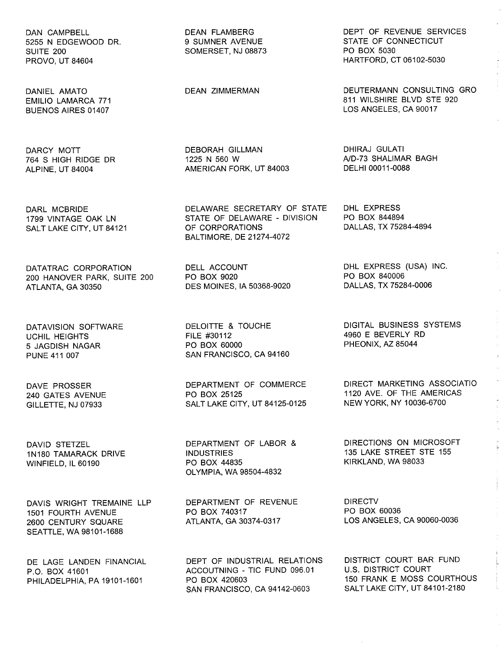DAN CAMPBELL 5255 N EDGEWOOD DR. SUITE 200 PROVO, UT 84604

DANIEL AMATO EMILIO LAMARCA 771 BUENOS AIRES 01407

DARCY MOTT 764 S HIGH RIDGE DR ALPINE, UT 84004

DARL MCBRIDE 1799 VINTAGE OAK LN SALT LAKE CITY, UT 84121

DATATRAC CORPORATION 200 HANOVER PARK, SUITE 200 ATLANTA, GA 30350

DATAVISION SOFTWARE UCHIL HEIGHTS 5 JAGDISH NAGAR PUNE 411007

DAVE PROSSER 240 GATES AVENUE GILLETTE, NJ 07933

DAVID STETZEL 1N180 TAMARACK DRIVE WINFIELD, IL 60190

DAVIS WRIGHT TREMAINE LLP 1501 FOURTH AVENUE 2600 CENTURY SQUARE SEATTLE, WA 98101-1688

DE LAGE LANDEN FINANCIAL P.O. BOX 41601 PHILADELPHIA, PA 19101-1601

DEAN FLAMBERG 9 SUMNER AVENUE SOMERSET, NJ 08873

DEAN ZIMMERMAN

DEBORAH GILLMAN 1225 N 560 W AMERICAN FORK, UT 84003

DELAWARE SECRETARY OF STATE STATE OF DELAWARE - DIVISION OF CORPORATIONS BALTIMORE, DE 21274-4072

DELL ACCOUNT PO BOX 9020 DES MOINES, IA 50368-9020

DELOITTE & TOUCHE FILE #30112 PO BOX 60000 SAN FRANCISCO, CA 94160

DEPARTMENT OF COMMERCE PO BOX 25125 SALT LAKE CITY, UT 84125-0125

DEPARTMENT OF LABOR & INDUSTRIES PO BOX 44835 OLYMPIA, WA 98504-4832

DEPARTMENT OF REVENUE PO BOX 740317 ATLANTA, GA 30374-0317

DEPT OF INDUSTRIAL RELATIONS ACCOUTNING - TIC FUND 096.01 PO BOX 420603 SAN FRANCISCO, CA 94142-0603

DEPT OF REVENUE SERVICES STATE OF CONNECTICUT PO BOX 5030 HARTFORD, CT 06102-5030

DEUTERMANN CONSULTING GRO 811 WILSHIRE BLVD STE 920 LOS ANGELES, CA 90017

DHIRAJ GULATI AlD-73 SHALIMAR BAGH DELHI 00011-0088

DHL EXPRESS PO BOX 844894 DALLAS, TX 75284-4894

DHL EXPRESS (USA) INC. PO BOX 840006 DALLAS, TX 75284-0006

DIGITAL BUSINESS SYSTEMS 4960 E BEVERLY RD PHEONIX, AZ 85044

DIRECT MARKETING ASSOCIATIO 1120 AVE. OF THE AMERICAS NEW YORK, NY 10036-6700

DIRECTIONS ON MICROSOFT 135 LAKE STREET STE 155 KIRKLAND, WA 98033

DIRECTV PO BOX 60036 LOS ANGELES, CA 90060-0036

DISTRICT COURT BAR FUND U.S. DISTRICT COURT 150 FRANK E MOSS COURTHOUS SALT LAKE CITY, UT 84101-2180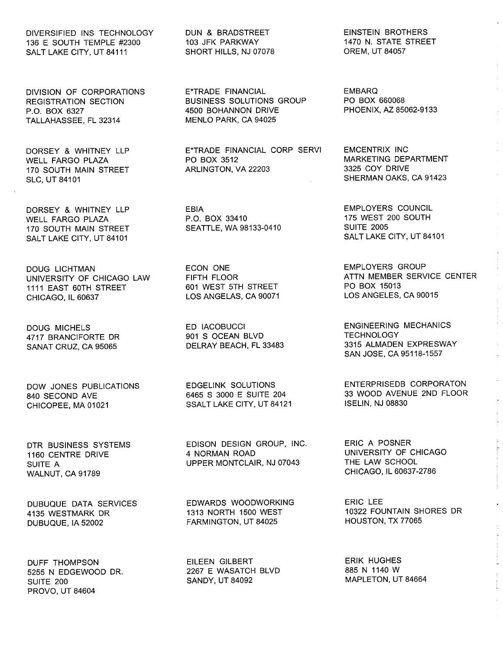DIVERSIFIED INS TECHNOLOGY 136 E SOUTH TEMPLE #2300 SALT LAKE CITY, UT 84111

DIVISION OF CORPORATIONS REGISTRATION SECTION P.O. BOX 6327 TALLAHASSEE, FL 32314

DORSEY & WHITNEY LLP WELL FARGO PLAZA 170 SOUTH MAIN STREET SLC, UT 84101

DORSEY & WHITNEY LLP WELL FARGO PLAZA 170 SOUTH MAIN STREET SALT LAKE CITY, UT 84101

DOUG LICHTMAN UNIVERSITY OF CHICAGO LAW 1111 EAST 60TH STREET CHICAGO, IL 60637

DOUG MICHELS 4717 BRANCIFORTE DR SANAT CRUZ, CA 95065

DOW JONES PUBLICATIONS 840 SECOND AVE CHICOPEE, MA 01021

DTR BUSINESS SYSTEMS 1160 CENTRE DRIVE SUITE A WALNUT, CA 91789

DUBUQUE DATA SERVICES 4135 WESTMARK DR DUBUQUE, IA 52002

DUFF THOMPSON 5255 N EDGEWOOD DR. SUITE 200 PROVO, UT 84604

DUN & BRADSTREET 103 JFK PARKWAY SHORT HILLS, NJ 07078

E\*TRADE FINANCIAL BUSINESS SOLUTIONS GROUP 4500 BOHANNON DRIVE MENLO PARK, CA 94025

E\*TRADE FINANCIAL CORP SERVI E\*TRADE FINA<br>PO BOX 3512<br>ARI INGTON ARLINGTON, VA 22203

> EBIA P.O. BOX 33410 SEATTLE, WA 98133-0410

ECON ONE FIFTH FLOOR 601 WEST 5TH STREET LOS ANGELAS, CA 90071

ED IACOBUCCI 901 S OCEAN BLVD DELRAY BEACH, FL 33483

EDGELINK SOLUTIONS 6465 S 3000 E SUITE 204 SSALT LAKE CITY, UT 84121

EDISON DESIGN GROUP, INC. 4 NORMAN ROAD UPPER MONTCLAIR, NJ 07043

EDWARDS WOODWORKING 1313 NORTH 1500 WEST FARMINGTON, UT 84025

EILEEN GILBERT 2267 E WASATCH BLVD SANDY, UT 84092

EINSTEIN BROTHERS 1470 N. STATE STREET OREM, UT 84057

 $\frac{1}{3}$ 

 $\mathbf{r}$  , and a sequence of  $\mathbf{r}$ 

EMBARQ PO BOX 660068 PHOENIX, AZ 85062-9133

EMCENTRIX INC MARKETING DEPARTMENT 3325 COY DRIVE SHERMAN OAKS, CA 91423

EMPLOYERS COUNCIL 175 WEST 200 SOUTH SUITE 2005 SALT LAKE CITY, UT 84101

EMPLOYERS GROUP ATTN MEMBER SERVICE CENTER PO BOX 15013 LOS ANGELES, CA 90015

ENGINEERING MECHANICS **TECHNOLOGY** 3315 ALMADEN EXPRESWAY SAN JOSE, CA 95118-1557

ENTERPRISEDB CORPORATON 33 WOOD AVENUE 2ND FLOOR ISELIN, NJ 08830

ERIC A POSNER UNIVERSITY OF CHICAGO THE LAW SCHOOL CHICAGO, IL 60637-2786

ERIC LEE 10322 FOUNTAIN SHORES DR HOUSTON, TX 77065

ERIK HUGHES 885 N 1140 W MAPLETON, UT 84664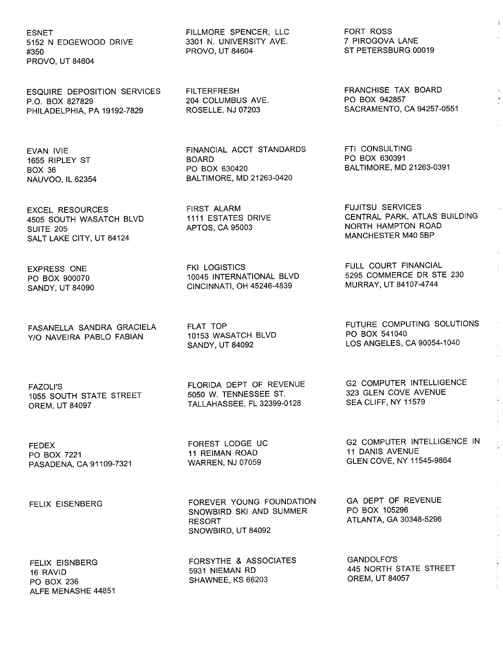ESNET 5152 N EDGEWOOD DRIVE #350 PROVO, UT 84604

ESQUIRE DEPOSITION SERVICES P.O. BOX 827829 PHILADELPHIA, PA 19192-7829

EVAN IVIE 1655 RIPLEY ST BOX 36 NAUVOO, IL 62354

EXCEL RESOURCES 4505 SOUTH WASATCH BLVD SUITE 205 SALT LAKE CITY, UT 84124

EXPRESS ONE PO BOX 900070 SANDY, UT 84090

FASANELLA SANDRA GRACIELA YIO NAVEIRA PABLO FABIAN

FAZOLl'S 1055 SOUTH STATE STREET OREM, UT 84097

FEDEX PO BOX 7221 PASADENA, CA 91109-7321

FELIX EISENBERG

FELIX EISNBERG

ALFE MENASHE 44851

16 RAVID PO BOX 236 FILLMORE SPENCER, LLC 3301 N. UNIVERSITY AVE. PROVO, UT 84604

**FILTERFRESH** 204 COLUMBUS AVE. ROSELLE, NJ 07203

FINANCIAL ACCT STANDARDS BOARD PO BOX 630420 BALTIMORE, MD 21263-0420

FIRST ALARM 1111 ESTATES DRIVE APTOS, CA 95003

FKI LOGISTICS 10045 INTERNATIONAL BLVD CINCINNATI, OH 45246-4839

FLAT TOP 10153 WASATCH BLVD SANDY, UT 84092

FLORIDA DEPT OF REVENUE 5050 W. TENNESSEE ST. TALLAHASSEE, FL 32399-0128

FOREST LODGE UC 11 REIMAN ROAD WARREN, NJ 07059

FOREVER YOUNG FOUNDATION SNOWBIRD SKI AND SUMMER RESORT SNOWBIRD, UT 84092

FORSYTHE & ASSOCIATES 5931 NIEMAN RD SHAWNEE, KS 66203

FORT ROSS 7 PIROGOVA LANE ST PETERSBURG 00019 ķ

FRANCHISE TAX BOARD PO BOX 942857 SACRAMENTO, CA 94257-0551

FTI CONSULTING PO BOX 630391 BALTIMORE, MD 21263-0391

FUJITSU SERVICES CENTRAL PARK, ATLAS BUILDING NORTH HAMPTON ROAD MANCHESTER M40 5BP

FULL COURT FINANCIAL 5295 COMMERCE DR STE 230 MURRAY, UT 84107-4744

FUTURE COMPUTING SOLUTIONS PO BOX 541040 LOS ANGELES, CA 90054-1040

G2 COMPUTER INTELLIGENCE 323 GLEN COVE AVENUE SEA CLIFF, NY 11579

G2 COMPUTER INTELLIGENCE IN 11 DANIS AVENUE GLEN COVE, NY 11545-9864

GA DEPT OF REVENUE PO BOX 105296 ATLANTA, GA 30348-5296

GANDOLFO'S 445 NORTH STATE STREET OREM, UT 84057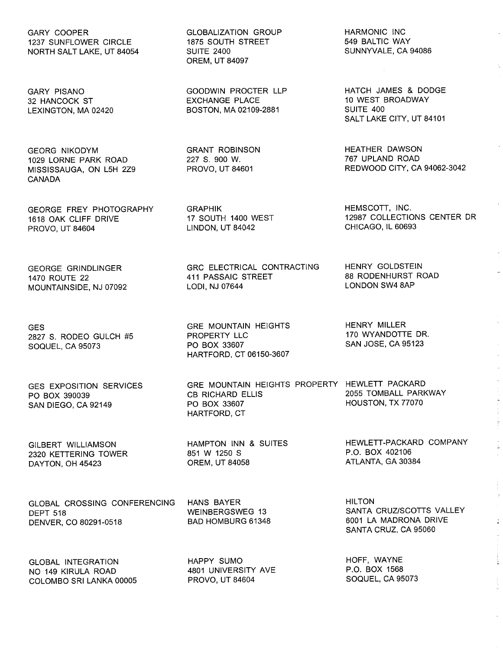GARY COOPER 1237 SUNFLOWER CIRCLE NORTH SALT LAKE, UT 84054

GARY PISANO 32 HANCOCK ST LEXINGTON, MA 02420

GEORG NIKODYM 1029 LORNE PARK ROAD MISSISSAUGA, ON L5H 2Z9 CANADA

GEORGE FREY PHOTOGRAPHY 1618 OAK CLIFF DRIVE PROVO, UT 84604

GEORGE GRINDLINGER 1470 ROUTE 22 MOUNTAINSIDE, NJ 07092

**GES** 2827 S. RODEO GULCH #5 SOQUEL, CA 95073

GES EXPOSITION SERVICES PO BOX 390039 SAN DIEGO, CA 92149

GILBERT WILLIAMSON 2320 KETTERING TOWER DAYTON, OH 45423

GLOBAL CROSSING CONFERENCING DEPT 518 DENVER, CO 80291-0518

GLOBAL INTEGRATION NO 149 KIRULA ROAD COLOMBO SRI LANKA 00005 GLOBALIZATION GROUP 1875 SOUTH STREET SUITE 2400 OREM, UT 84097

GOODWIN PROCTER LLP EXCHANGE PLACE BOSTON, MA 02109-2881

GRANT ROBINSON 227 S. 900 W. PROVO, UT 84601

GRAPHIK 17 SOUTH 1400 WEST LINDON, UT 84042

GRC ELECTRICAL CONTRACTING 411 PASSAIC STREET LODI, NJ 07644

GRE MOUNTAIN HEIGHTS PROPERTY LLC PO BOX 33607 HARTFORD, CT 06150-3607

GRE MOUNTAIN HEIGHTS PROPERTY HEWLETT PACKARD CB RICHARD ELLIS PO BOX 33607 HARTFORD, CT

HAMPTON INN & SUITES 851 W 1250 S OREM, UT 84058

HANS BAYER WEINBERGSWEG 13 BAD HOMBURG 61348

HAPPY SUMO 4801 UNIVERSITY AVE PROVO, UT 84604

HARMONIC INC 549 BALTIC WAY SUNNYVALE, CA 94086

HATCH JAMES & DODGE 10 WEST BROADWAY SUITE 400 SALT LAKE CITY, UT 84101

HEATHER DAWSON 767 UPLAND ROAD REDWOOD CITY, CA 94062-3042

HEMSCOTT, INC. 12987 COLLECTIONS CENTER DR CHICAGO, IL 60693

HENRY GOLDSTEIN 88 RODENHURST ROAD LONDON SW4 8AP

HENRY MILLER 170 WYANDOTTE DR. SAN JOSE, CA 95123

2055 TOMBALL PARKWAY HOUSTON, TX 77070

HEWLETT-PACKARD COMPANY P.O. BOX 402106 ATLANTA, GA 30384

 $\frac{1}{2}$ 

**HILTON** SANTA CRUZ/SCOTTS VALLEY 6001 LA MADRONA DRIVE SANTA CRUZ, CA 95060

HOFF, WAYNE P.O. BOX 1568 SOQUEL, CA 95073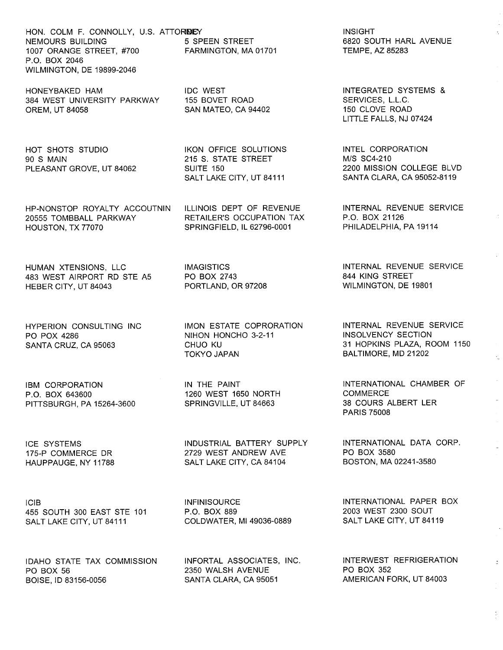HON. COLM F. CONNOLLY, U.S. ATTOR**DE**Y NEMOURS BUILDING 1007 ORANGE STREET, #700 P.O. BOX 2046 WILMINGTON, DE 19899-2046

HONEYBAKED HAM 384 WEST UNIVERSITY PARKWAY OREM, UT 84058

HOT SHOTS STUDIO 90 S MAIN PLEASANT GROVE, UT 84062

HP-NONSTOP ROYALTY ACCOUTNIN 20555 TOMBBALL PARKWAY HOUSTON, TX 77070

HUMAN XTENSIONS, LLC 483 WEST AIRPORT RD STE A5 HEBER CITY, UT 84043

HYPERION CONSULTING INC PO POX 4286 SANTA CRUZ, CA 95063

IBM CORPORATION P.O. BOX 643600 PITTSBURGH, PA 15264-3600

ICE SYSTEMS 175-P COMMERCE DR HAUPPAUGE, NY 11788

ICIB 455 SOUTH 300 EAST STE 101 SALT LAKE CITY, UT 84111

IDAHO STATE TAX COMMISSION PO BOX 56 BOISE, ID 83156-0056

5 SPEEN STREET FARMINGTON, MA 01701

IDC WEST 155 BOVET ROAD SAN MATEO, CA 94402

IKON OFFICE SOLUTIONS 215 S. STATE STREET SUITE 150 SALT LAKE CITY, UT 84111

ILLINOIS DEPT OF REVENUE RETAILER'S OCCUPATION TAX SPRINGFIELD, IL 62796-0001

IMAGISTICS PO BOX 2743 PORTLAND, OR 97208

IMON ESTATE COPRORATION NIHON HONCHO 3-2-11 CHUO KU TOKYO JAPAN

IN THE PAINT 1260 WEST 1650 NORTH SPRINGVILLE, UT 84663

INDUSTRIAL BATTERY SUPPLY 2729 WEST ANDREW AVE SALT LAKE CITY, CA 84104

**INFINISOURCE** P.O. BOX 889 COLDWATER, MI 49036-0889

INFORTAL ASSOCIATES, INC. 2350 WALSH AVENUE SANTA CLARA, CA 95051

INSIGHT 6820 SOUTH HARL AVENUE TEMPE, AZ 85283

INTEGRATED SYSTEMS & SERVICES, L.L.C. 150 CLOVE ROAD LITTLE FALLS, NJ 07424

INTEL CORPORATION MIS SC4-210 2200 MISSION COLLEGE BLVD SANTA CLARA, CA 95052-8119

INTERNAL REVENUE SERVICE P.O. BOX 21126 PHILADELPHIA, PA 19114

INTERNAL REVENUE SERVICE 844 KING STREET WILMINGTON, DE 19801

INTERNAL REVENUE SERVICE INSOLVENCY SECTION 31 HOPKINS PLAZA, ROOM 1150 BALTIMORE, MD 21202

INTERNATIONAL CHAMBER OF **COMMERCE** 38 COURS ALBERT LER PARIS 75008

INTERNATIONAL DATA CORP. PO BOX 3580 BOSTON, MA 02241-3580

INTERNATIONAL PAPER BOX 2003 WEST 2300 SOUT SALT LAKE CITY, UT 84119

INTERWEST REFRIGERATION PO BOX 352 AMERICAN FORK, UT 84003

 $\frac{1}{2}$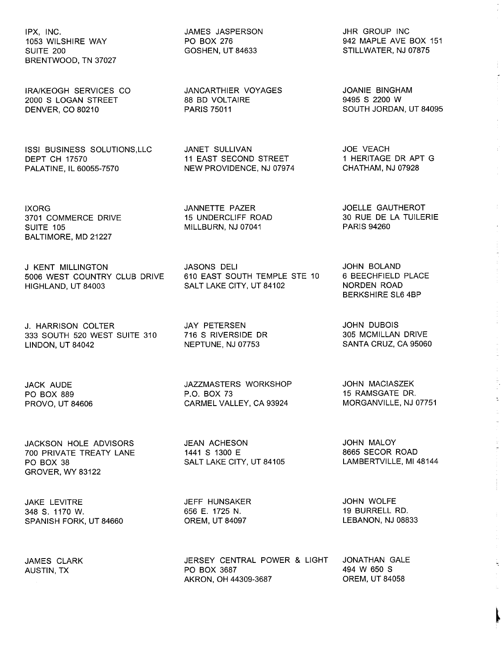IPX, INC. 1053 WILSHIRE WAY SUITE 200 BRENTWOOD, TN 37027

IRAIKEOGH SERVICES CO 2000 S LOGAN STREET DENVER, CO 80210

ISSI BUSINESS SOLUTIONS,LLC DEPT CH 17570 PALATINE, IL 60055-7570

IXORG 3701 COMMERCE DRIVE SUITE 105 BALTIMORE, MD 21227

J KENT MILLINGTON 5006 WEST COUNTRY CLUB DRIVE HIGHLAND, UT 84003

J. HARRISON COLTER 333 SOUTH 520 WEST SUITE 310 716 S RIVERSIDE DR LINDON, UT 84042

JACK AUDE PO BOX 889 PROVO, UT 84606

JACKSON HOLE ADVISORS 700 PRIVATE TREATY LANE PO BOX 38 GROVER, WY 83122

JAKE LEVITRE 348 S. 1170 W. SPANISH FORK, UT 84660

JAMES CLARK AUSTIN, TX

JAMES JASPERSON PO BOX 276 GOSHEN, UT 84633

JANCARTHIER VOYAGES 88 BD VOLTAIRE PARIS 75011

JANET SULLIVAN 11 EAST SECOND STREET NEW PROVIDENCE, NJ 07974

JANNETTE PAZER 15 UNDERCLIFF ROAD MILLBURN, NJ 07041

JASONS DELI 610 EAST SOUTH TEMPLE STE 10 SALT LAKE CITY, UT 84102

JAY PETERSEN NEPTUNE, NJ 07753

JAZZMASTERS WORKSHOP P.O. BOX 73 CARMEL VALLEY, CA 93924

JEAN ACHESON 1441 S 1300 E SALT LAKE CITY, UT 84105

JEFF HUNSAKER 656 E. 1725 N. OREM, UT 84097

JERSEY CENTRAL POWER & LIGHT PO BOX 3687 AKRON, OH 44309-3687

JHR GROUP INC 942 MAPLE AVE BOX 151 STILLWATER, NJ 07875

JOANIE BINGHAM 9495 S 2200 W SOUTH JORDAN, UT 84095

JOE VEACH<br>1 HERITAGE DR APT G 1 HERITAGE DR APT G CHATHAM, NJ 07928

JOELLE GAUTHEROT 30 RUE DE LA TUILERIE PARIS 94260

JOHN BOLAND 6 BEECHFIELD PLACE NORDEN ROAD BERKSHIRE SL6 4BP

JOHN DUBOIS 305 MCMILLAN DRIVE SANTA CRUZ, CA 95060

JOHN MACIASZEK 15 RAMSGATE DR. MORGANVILLE, NJ 07751

JOHN MALOY 8665 SECOR ROAD LAMBERTVILLE, MI 48144

JOHN WOLFE 19 BURRELL RD. LEBANON, NJ 08833

JONATHAN GALE 494 W 650 S OREM, UT 84058

~

 $\hat{\mathbf{r}}$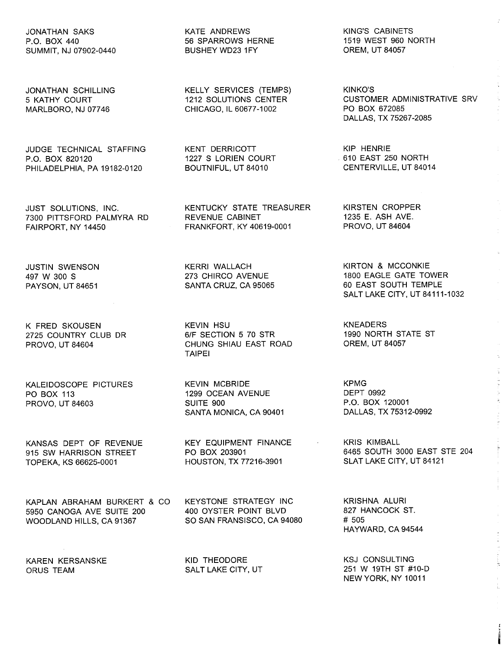JONATHAN SAKS P.O. BOX 440 SUMMIT, NJ 07902-0440

JONATHAN SCHILLING 5 KATHY COURT MARLBORO, NJ 07746

JUDGE TECHNICAL STAFFING P.O. BOX 820120 PHILADELPHIA, PA 19182-0120

JUST SOLUTIONS, INC. 7300 PITTSFORD PALMYRA RD FAIRPORT, NY 14450

JUSTIN SWENSON 497 W 300 S PAYSON, UT 84651

K FRED SKOUSEN 2725 COUNTRY CLUB DR PROVO, UT 84604

KALEIDOSCOPE PICTURES PO BOX 113 PROVO, UT 84603

KANSAS DEPT OF REVENUE 915 SW HARRISON STREET TOPEKA, KS 66625-0001

KAPLAN ABRAHAM BURKERT & CO 5950 CANOGA AVE SUITE 200 WOODLAND HILLS, CA 91367

KAREN KERSANSKE ORUS TEAM

KATE ANDREWS 56 SPARROWS HERNE BUSHEY WD23 1FY

KELLY SERVICES (TEMPS) 1212 SOLUTIONS CENTER CHICAGO, IL 60677-1002

KENT DERRICOTT 1227 S LORIEN COURT BOUTNIFUL, UT 84010

KENTUCKY STATE TREASURER REVENUE CABINET FRANKFORT, KY 40619-0001

KERRI WALLACH 273 CHIRCO AVENUE SANTA CRUZ, CA 95065

KEVIN HSU 6/F SECTION 5 70 STR CHUNG SHIAU EAST ROAD TAIPEI

KEVIN MCBRIDE 1299 OCEAN AVENUE SUITE 900 SANTA MONICA, CA 90401

KEY EQUIPMENT FINANCE PO BOX 203901 HOUSTON, TX 77216-3901

KEYSTONE STRATEGY INC 400 OYSTER POINT BLVD SO SAN FRANSISCO, CA 94080

KID THEODORE SALT LAKE CITY, UT KING'S CABINETS 1519 WEST 960 NORTH OREM, UT 84057

KINKO'S CUSTOMER ADMINISTRATIVE SRV PO BOX 672085 DALLAS, TX 75267-2085

KIP HENRIE . 610 EAST 250 NORTH CENTERVILLE, UT 84014

KIRSTEN CROPPER 1235 E. ASH AVE. PROVO, UT 84604

KIRTON & MCCONKIE 1800 EAGLE GATE TOWER 60 EAST SOUTH TEMPLE SALT LAKE CITY, UT 84111-1032

KNEADERS 1990 NORTH STATE ST OREM, UT 84057

KPMG DEPT 0992 P.O. BOX 120001 DALLAS, TX 75312-0992

KRIS KIMBALL 6465 SOUTH 3000 EAST STE 204 SLAT LAKE CITY, UT 84121

 $\mathbf{r}$  and  $\mathbf{r}$  and  $\mathbf{r}$ 

KRISHNA ALURI 827 HANCOCK ST. # 505 HAYWARD, CA 94544

KSJ CONSULTING 251 W 19TH ST #10-D NEW YORK, NY 10011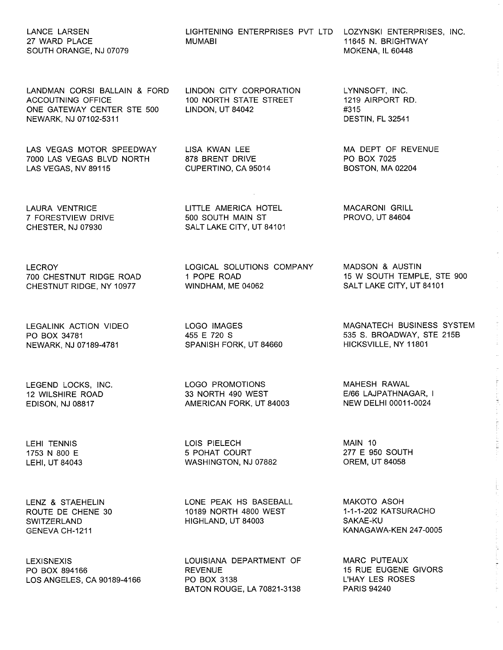## LANCE LARSEN 27 WARD PLACE SOUTH ORANGE, NJ 07079

LANDMAN CORSI BALLAIN & FORD ACCOUTNING OFFICE ONE GATEWAY CENTER STE 500 NEWARK, NJ 07102-5311

LAS VEGAS MOTOR SPEEDWAY 7000 LAS VEGAS BLVD NORTH LAS VEGAS, NV 89115

LAURA VENTRICE 7 FORESTVIEW DRIVE CHESTER, NJ 07930

LECROY 700 CHESTNUT RIDGE ROAD CHESTNUT RIDGE, NY 10977

LEGALINK ACTION VIDEO PO BOX 34781 NEWARK, NJ 07189-4781

LEGEND LOCKS, INC. 12 WILSHIRE ROAD EDISON, NJ 08817

LEHI TENNIS 1753 N 800 E LEHI, UT 84043

LENZ & STAEHELIN ROUTE DE CHENE 30 SWITZERLAND GENEVA CH-1211

**LEXISNEXIS** PO BOX 894166 LOS ANGELES, CA 90189-4166

LIGHTENING ENTERPRISES PVT LTD LOZYNSKI ENTERPRISES, INC. MUMABI

LINDON CITY CORPORATION 100 NORTH STATE STREET LINDON, UT 84042

LISA KWAN LEE 878 BRENT DRIVE CUPERTINO, CA 95014

LITTLE AMERICA HOTEL 500 SOUTH MAIN ST SALT LAKE CITY, UT 84101

LOGICAL SOLUTIONS COMPANY 1 POPE ROAD WINDHAM, ME 04062

LOGO IMAGES 455 E 720 S SPANISH FORK, UT 84660

LOGO PROMOTIONS 33 NORTH 490 WEST AMERICAN FORK, UT 84003

LOIS PIELECH 5 POHAT COURT WASHINGTON, NJ 07882

LONE PEAK HS BASEBALL 10189 NORTH 4800 WEST HIGHLAND, UT 84003

LOUISIANA DEPARTMENT OF REVENUE PO BOX 3138 BATON ROUGE, LA 70821-3138 11645 N. BRIGHTWAY MOKENA, IL 60448

LYNNSOFT, INC. 1219 AIRPORT RD. #315 DESTIN, FL 32541

MA DEPT OF REVENUE PO BOX 7025 BOSTON, MA 02204

MACARONI GRILL PROVO, UT 84604

MADSON & AUSTIN 15 W SOUTH TEMPLE, STE 900 SALT LAKE CITY, UT 84101

MAGNATECH BUSINESS SYSTEM 535 S. BROADWAY, STE 215B HICKSVILLE, NY 11801

distribution of the control of the control of the control of the control of the control of the control of the control of the control of the control of the control of the control of the control of the control of the control

MAHESH RAWAL E/66 LAJPATHNAGAR, I NEW DELHI 00011-0024

MAIN 10 277 E 950 SOUTH OREM, UT 84058

MAKOTO ASOH 1-1-1-202 KATSURACHO SAKAE-KU KANAGAWA-KEN 247-0005

MARC PUTEAUX 15 RUE EUGENE GIVORS L'HAY LES ROSES **PARIS 94240**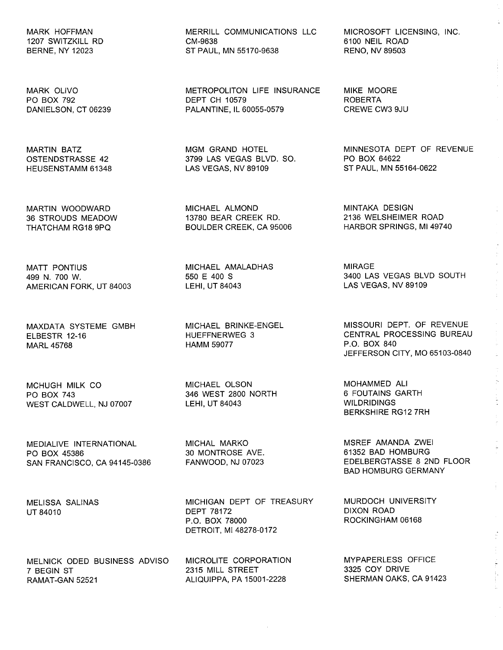MARK HOFFMAN 1207 SWITZKILL RD BERNE, NY 12023

MARK OLIVO PO BOX 792 DANIELSON, CT 06239

MARTIN BATZ OSTENDSTRASSE 42 HEUSENSTAMM 61348

MARTIN WOODWARD 36 STROUDS MEADOW THATCHAM RG18 9PQ

MATT PONTIUS 499 N. 700 W. AMERICAN FORK, UT 84003

MAXDATA SYSTEME GMBH ELBESTR 12-16 MARL 45768

MCHUGH MILK CO PO BOX 743 WEST CALDWELL, NJ 07007

MEDIALIVE INTERNATIONAL PO BOX 45386 SAN FRANCISCO, CA 94145-0386

MELISSA SALINAS UT 84010

MELNICK ODED BUSINESS ADVISO 7 BEGIN ST RAMAT-GAN 52521

MERRILL COMMUNICATIONS LLC CM-9638 ST PAUL, MN 55170-9638

METROPOLITON LIFE INSURANCE DEPT CH 10579 PALANTINE, IL 60055-0579

MGM GRAND HOTEL 3799 LAS VEGAS BLVD. SO. LAS VEGAS, NV 89109

MICHAEL ALMOND 13780 BEAR CREEK RD. BOULDER CREEK, CA 95006

MICHAEL AMALADHAS 550 E 400 S LEHI, UT 84043

MICHAEL BRINKE-ENGEL HUEFFNERWEG 3 HAMM 59077

MICHAEL OLSON 346 WEST 2800 NORTH LEHI, UT 84043

MICHAL MARKO 30 MONTROSE AVE. FANWOOD, NJ 07023

MICHIGAN DEPT OF TREASURY DEPT 78172 P.O. BOX 78000 DETROIT, MI 48278-0172

MICROLITE CORPORATION 2315 MILL STREET ALIQUIPPA, PA 15001-2228

MICROSOFT LICENSING, INC. 6100 NEIL ROAD RENO, NV 89503

MIKE MOORE ROBERTA CREWE CW3 9JU

MINNESOTA DEPT OF REVENUE PO BOX 64622 ST PAUL, MN 55164-0622

MINTAKA DESIGN 2136 WELSHEIMER ROAD HARBOR SPRINGS, MI49740

MIRAGE 3400 LAS VEGAS BLVD SOUTH LAS VEGAS, NV 89109

MISSOURI DEPT. OF REVENUE CENTRAL PROCESSING BUREAU P.O. BOX 840 JEFFERSON CITY, MO 65103-0840

MOHAMMED All 6 FOUTAINS GARTH WILDRIDINGS BERKSHIRE RG12 7RH

MSREF AMANDA ZWEI 61352 BAD HOMBURG EDELBERGTASSE 8 2ND FLOOR BAD HOMBURG GERMANY

MURDOCH UNIVERSITY DIXON ROAD ROCKINGHAM 06168

MYPAPERLESS OFFICE 3325 COY DRIVE SHERMAN OAKS, CA 91423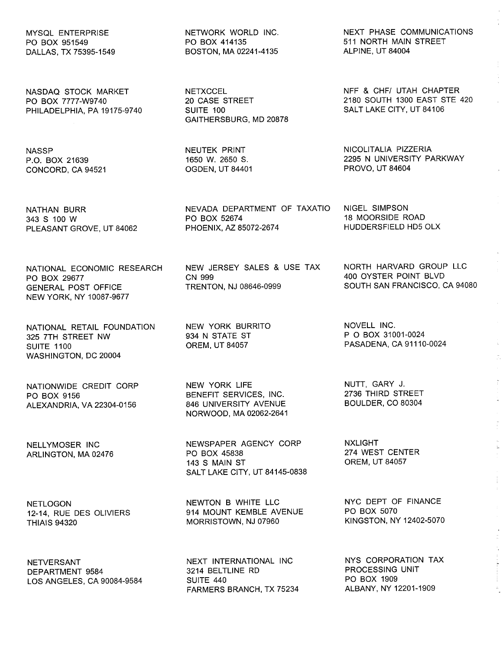MYSQL ENTERPRISE PO BOX 951549 DALLAS, TX 75395-1549

NASDAQ STOCK MARKET PO BOX 7777-W9740 PHILADELPHIA, PA 19175-9740

**NASSP** P.O. BOX 21639 CONCORD, CA 94521

NATHAN BURR 343 S 100 W PLEASANT GROVE, UT 84062

NATIONAL ECONOMIC RESEARCH PO BOX 29677 GENERAL POST OFFICE NEW YORK, NY 10087-9677

NATIONAL RETAIL FOUNDATION 325 7TH STREET NW SUITE 1100 WASHINGTON, DC 20004

NATIONWIDE CREDIT CORP PO BOX 9156 ALEXANDRIA, VA 22304-0156

NELL YMOSER INC ARLINGTON, MA 02476

**NETLOGON** 12-14, RUE DES OLiVIERS THIAIS 94320

NETVERSANT DEPARTMENT 9584 LOS ANGELES, CA 90084-9584 NETWORK WORLD INC. PO BOX 414135 BOSTON, MA 02241-4135

**NETXCCEL** 20 CASE STREET SUITE 100 GAITHERSBURG, MD 20878

NEUTEK PRINT 1650 W. 2650 S. OGDEN, UT 84401

NEVADA DEPARTMENT OF TAXATIO PO BOX 52674 PHOENIX, AZ 85072-2674

NEW JERSEY SALES & USE TAX CN 999 TRENTON, NJ 08646-0999

NEW YORK BURRITO 934 N STATE ST OREM, UT 84057

NEW YORK LIFE BENEFIT SERVICES, INC. 846 UNIVERSITY AVENUE NORWOOD, MA 02062-2641

NEWSPAPER AGENCY CORP PO BOX 45838 143 S MAIN ST SALT LAKE CITY, UT 84145-0838

NEWTON B WHITE LLC 914 MOUNT KEMBLE AVENUE MORRISTOWN, NJ 07960

NEXT INTERNATIONAL INC 3214 BELTLINE RD SUITE 440 FARMERS BRANCH, TX 75234 NEXT PHASE COMMUNICATIONS 511 NORTH MAIN STREET ALPINE, UT 84004

NFF & CHF/ UTAH CHAPTER 2180 SOUTH 1300 EAST STE 420 SALT LAKE CITY, UT 84106

NICOLITALIA PIZZERIA 2295 N UNIVERSITY PARKWAY PROVO, UT 84604

NIGEL SIMPSON 18 MOORSIDE ROAD HUDDERSFIELD HD5 OLX

NORTH HARVARD GROUP LLC 400 OYSTER POINT BLVD SOUTH SAN FRANCISCO, CA 94080

NOVELL INC. POBOX 31001-0024 PASADENA, CA 91110-0024

NUTT, GARY J. 2736 THIRD STREET BOULDER, CO 80304

NXLlGHT 274 WEST CENTER OREM, UT 84057

NYC DEPT OF FINANCE PO BOX 5070 KINGSTON, NY 12402-5070

NYS CORPORATION TAX PROCESSING UNIT PO BOX 1909 ALBANY, NY 12201-1909

 $\frac{1}{2}$  and  $\frac{1}{2}$  are considered in the constant  $\frac{1}{2}$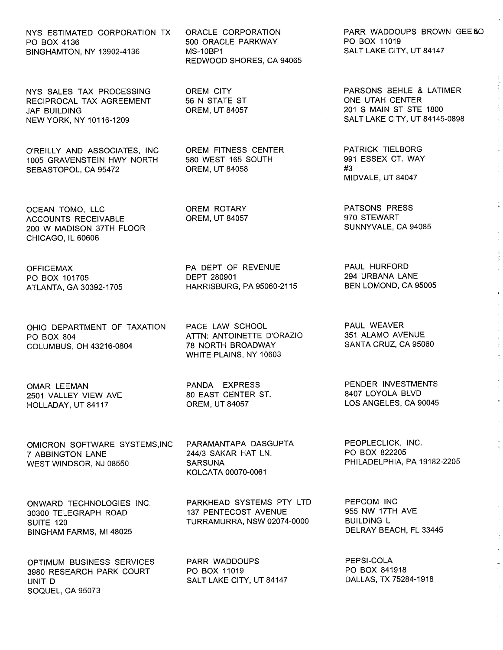BINGHAMTON, NY 13902-4136 MS-10BP1

RECIPROCAL TAX AGREEMENT JAF BUILDING OREM, UT 84057 201 S MAIN ST STE 1800 NEW YORK, NY 10116-1209 NEW YORK, NY 10116-1209

O'REILLY AND ASSOCIATES, INC OREM FITNESS CENTER FRATRICK TIELBORG (1005 GRAVENSTEIN HWY NORTH 580 WEST 165 SOUTH 1005 GRAVENSTEIN HWY NORTH 580 WEST 165 SOUTH 991 ESSEX CT. WAY SEBASTOPOL, CA 95472

OCEAN TOMO, LLC OREM ROTARY PATSONS PRESS ACCOUNTS RECEIVABLE OREM, UT 84057 970 STEWART 200 W MADISON 37TH FLOOR CHICAGO, IL 60606

ATLANTA, GA 30392-1705

OHIO DEPARTMENT OF TAXATION PO BOX 804 COLUMBUS, OH 43216-0804

OMAR LEEMAN 2501 VALLEY VIEW AVE HOLLADAY, UT 84117

OMICRON SOFTWARE SYSTEMS,INC 7 ABBINGTON LANE WEST WINDSOR, NJ 08550

ONWARD TECHNOLOGIES INC. 30300 TELEGRAPH ROAD SUITE 120 BINGHAM FARMS, MI 48025

OPTIMUM BUSINESS SERVICES 3980 RESEARCH PARK COURT UNIT D SOQUEL, CA 95073

PO BOX 4136 500 ORACLE PARKWAY PO BOX 11019 REDWOOD SHORES, CA 94065

OFFICEMAX PA DEPT OF REVENUE PAUL HURFORD PO BOX 101705 DEPT 280901 294 URBANA LANE

> PACE LAW SCHOOL ATTN: ANTOINETTE D'ORAZIO 78 NORTH BROADWAY WHITE PLAINS, NY 10603

PANDA EXPRESS 80 EAST CENTER ST. OREM, UT 84057

PARAMANTAPA DASGUPTA 244/3 SAKAR HAT LN. **SARSUNA** KOLCATA 00070-0061

PARKHEAD SYSTEMS PTY LTD 137 PENTECOST AVENUE TURRAMURRA, NSW 02074-0000

PARR WADDOUPS PO BOX 11019 SALT LAKE CITY, UT 84147

NYS ESTIMATED CORPORATION TX ORACLE CORPORATION FARR WADDOUPS BROWN GEE AND PO BOX 4136

NYS SALES TAX PROCESSING OREM CITY PARSONS BEHLE & LATIMER

MIDVALE, UT 84047

PAUL WEAVER 351 ALAMO AVENUE SANTA CRUZ, CA 95060

PENDER INVESTMENTS 8407 LOYOLA BLVD LOS ANGELES, CA 90045

PEOPLECLICK, INC. PO BOX 822205 PHILADELPHIA, PA 19182-2205

PEPCOM INC 955 NW 17TH AVE BUILDING L DELRAY BEACH, FL 33445

PEPSI-COLA PO BOX 841918 DALLAS, TX 75284-1918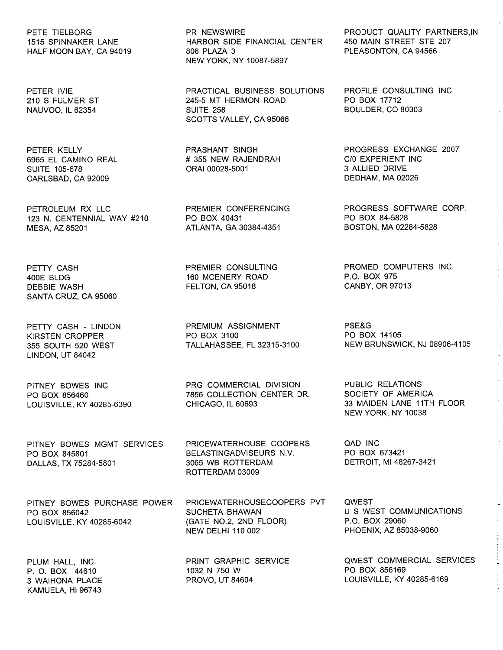HALF MOON BAY, CA 94019

SUITE 105-678 ORAl 00028-5001 3 ALLIED DRIVE CARLSBAD, CA 92009

123 N. CENTENNIAL WAY #210 PO BOX 40431 PO BOX 84-5828 MESA, AZ 85201 A TLANT A, GA 30384-4351 BOSTON, MA 02284-5828

PETTY CASH 400E BLDG DEBBIE WASH SANTA CRUZ, CA 95060

PETTY CASH - LINDON KIRSTEN CROPPER 355 SOUTH 520 WEST LINDON, UT 84042

PITNEY BOWES INC PO BOX 856460 LOUISVILLE, KY 40285-6390

PITNEY BOWES MGMT SERVICES PO BOX 845801 DALLAS, TX 75284-5801

1515 HARBOR SIDE FINANCIAL CENTER 450 MAIN STREET STE<br>206 PLAZA 3 PLEASONTON, CA 94566 NEW YORK, NY 10087-5897

PETER IVIE PRACTICAL BUSINESS SOLUTIONS PROFILE CONSULTING INC 210 S FULMER ST 245-5 MT HERMON ROAD PO BOX 17712 NAUVOO, IL 62354 SUITE 258 BOULDER, CO 80303 SCOTTS VALLEY, CA 95066

6965 EL CAMINO REAL # 355 NEW RAJENDRAH CIO EXPERIENT INC

PREMIER CONSULTING 160 MCENERY ROAD FELTON, CA 95018

PREMIUM ASSIGNMENT PO BOX 3100 TALLAHASSEE, FL 32315-3100

PRG COMMERCIAL DIVISION 7856 COLLECTION CENTER DR. CHICAGO, IL 60693

PRICEWATERHOUSE COOPERS BELASTINGADVISEURS N.V. 3065 WB ROTTERDAM ROTTERDAM 03009

PITNEY BOWES PURCHASE POWER PO BOX 856042 LOUISVILLE, KY 40285-6042

PLUM HALL, INC. P. O. BOX 44610 3 WAIHONA PLACE KAMUELA, HI 96743 PRICEWATERHOUSECOOPERS PVT SUCHETA BHAWAN (GATE NO.2, 2ND FLOOR) NEW DELHI 110 002

PRINT GRAPHIC SERVICE 1032 N 750 W PROVO, UT 84604

PETE TIELBORG PR NEWSWIRE PRODUCT QUALITY PARTNERS,IN

PETER KELLY **EXABLE 2007** PRASHANT SINGH PROGRESS EXCHANGE 2007

PETROLEUM RX LLC PREMIER CONFERENCING PROGRESS SOFTWARE CORP.

PROMED COMPUTERS INC. P.O. BOX 975 CANBY, OR 97013

PSE&G PO BOX 14105 NEW BRUNSWICK, NJ 08906-4105

PUBLIC RELATIONS SOCIETY OF AMERICA 33 MAIDEN LANE 11TH FLOOR NEW YORK, NY 10038

QAD INC PO BOX 673421 DETROIT, MI 48267-3421

**QWEST** U S WEST COMMUNICATIONS P.O. BOX 29060 PHOENIX, AZ 85038-9060

QWEST COMMERCIAL SERVICES PO BOX 856169 LOUISVILLE, KY 40285-6169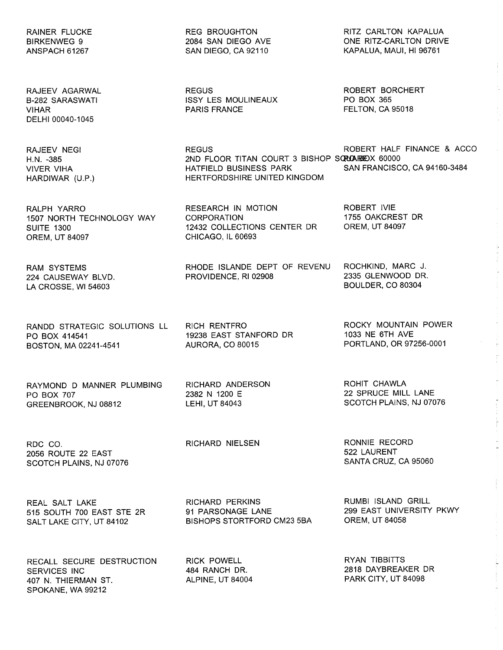RAINER FLUCKE BIRKENWEG 9 ANSPACH 61267

RAJEEV AGARWAL B-282 SARASWATI VIHAR DELHI 00040-1045

RAJEEV NEGI H.N. -385 VIVER VIHA HARDIWAR (U.P.)

RALPH YARRO 1507 NORTH TECHNOLOGY WAY **SUITE 1300** OREM, UT 84097

RAM SYSTEMS 224 CAUSEWAY BLVD. LA CROSSE, WI 54603

RANDD STRATEGIC SOLUTIONS LL PO BOX 414541 BOSTON, MA 02241-4541

RAYMOND D MANNER PLUMBING PO BOX 707 GREENBROOK, NJ 08812

RDC CO. 2056 ROUTE 22 EAST SCOTCH PLAINS, NJ 07076

REAL SALT LAKE 515 SOUTH 700 EAST STE 2R SALT LAKE CITY, UT 84102

RECALL SECURE DESTRUCTION SERVICES INC 407 N. THIERMAN ST. SPOKANE, WA 99212

REG BROUGHTON 2084 SAN DIEGO AVE SAN DIEGO, CA 92110

REGUS ISSY LES MOULINEAUX PARIS FRANCE

REGUS ROBERT HALF FINANCE & ACCO HATFIELD BUSINESS PARK HERTFORDSHIRE UNITED KINGDOM

RESEARCH IN MOTION CORPORATION 12432 COLLECTIONS CENTER DR CHICAGO, IL 60693

RHODE ISLANDE DEPT OF REVENU PROVIDENCE, RI 02908

RICH RENTFRO 19238 EAST STANFORD DR AURORA, CO 80015

RICHARD ANDERSON 2382 N 1200 E LEHI, UT 84043

RICHARD NIELSEN

RICK POWELL 484 RANCH DR. ALPINE, UT 84004

PORTLAND, OR 97256-0001

ROCKY MOUNTAIN POWER

 $\bar{\nu}$  $\widetilde{\mathbb{F}}$ 

ROHIT CHAWLA 22 SPRUCE MILL LANE SCOTCH PLAINS, NJ 07076

RONNIE RECORD 522 LAURENT SANTA CRUZ, CA 95060

RUMBI ISLAND GRILL 299 EAST UNIVERSITY PKWY OREM, UT 84058

> RYAN TIBBITTS 2818 DAYBREAKER DR PARK CITY, UT 84098

RICHARD PERKINS 91 PARSONAGE LANE BISHOPS STORTFORD CM23 5BA

RITZ CARLTON KAPALUA ONE RITZ-CARLTON DRIVE KAPALUA, MAUl, HI 96761

ROBERT BORCHERT PO BOX 365 FELTON, CA 95018

2ND FLOOR TITAN COURT 3 BISHOP SQROARHOX 60000<br>HATFIFID BUSINESS PARK SAN FRANCISCO. CA 94160-3484

ROBERT IVIE 1755 OAKCREST DR OREM, UT 84097

ROCHKIND, MARC J. 2335 GLENWOOD DR. BOULDER, CO 80304

1033 NE 6TH AVE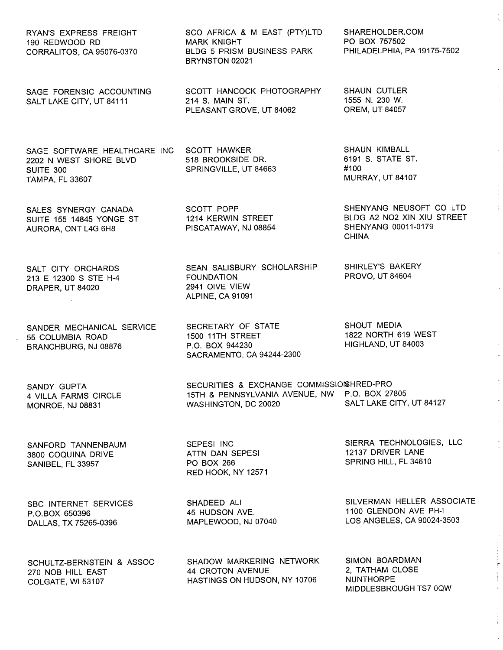RYAN'S EXPRESS FREIGHT 190 REDWOOD RD CORRALITOS, CA 95076-0370

SAGE FORENSIC ACCOUNTING SALT LAKE CITY, UT 84111

SAGE SOFTWARE HEALTHCARE INC 2202 N WEST SHORE BLVD SUITE 300 TAMPA, FL 33607

SALES SYNERGY CANADA SUITE 155 14845 YONGE ST AURORA, ONT L4G 6H8

SALT CITY ORCHARDS 213 E 12300 S STE H-4 DRAPER, UT 84020

SANDER MECHANICAL SERVICE 55 COLUMBIA ROAD BRANCHBURG, NJ 08876

SANDY GUPTA 4 VILLA FARMS CIRCLE MONROE, NJ 08831

SANFORD TANNENBAUM 3800 COQUINA DRIVE SANIBEL, FL 33957

SBC INTERNET SERVICES P.O.BOX 650396 DALLAS, TX 75265-0396

SCHULTZ-BERNSTEIN & ASSOC 270 NOB HILL EAST COLGATE, Wi 53107

SCO AFRICA & M EAST (PTY)LTD MARK KNIGHT BLDG 5 PRISM BUSINESS PARK BRYNSTON 02021

SCOTT HANCOCK PHOTOGRAPHY 214 S. MAIN ST. PLEASANT GROVE, UT 84062

> SCOTT HAWKER 518 BROOKSIDE DR. SPRINGVILLE, UT 84663

> SCOTT POPP 1214 KERWIN STREET PISCATAWAY, NJ 08854

SEAN SALISBURY SCHOLARSHIP FOUNDATION 2941 OIVE VIEW ALPINE, CA 91091

SECRETARY OF STATE 1500 11TH STREET P.O. BOX 944230 SACRAMENTO, CA 94244-2300

SECURITIES & EXCHANGE COMMISSIONSHRED-PRO 15TH & PENNSYLVANIA AVENUE, NW P.O. BOX 27805<br>WASHINGTON, DC 20020 SALT LAKE CITY, UT 84127 WASHINGTON, DC 20020

SEPESI INC ATTN DAN SEPESI PO BOX 266 RED HOOK, NY 12571

SHADEED All 45 HUDSON AVE. MAPLEWOOD, NJ 07040

SHADOW MARKERING NETWORK 44 CROTON AVENUE HASTINGS ON HUDSON, NY 10706

SHAREHOLDER. COM PO BOX 757502 PHILADELPHIA, PA 19175-7502

SHAUN CUTLER 1555 N. 230 W. OREM, UT 84057

SHAUN KIMBALL 6191 S. STATE ST. #100 MURRAY, UT 84107

SHENYANG NEUSOFT CO LTD BLDG A2 N02 XIN XIU STREET SHENYANG 00011-0179 CHINA

SHIRLEY'S BAKERY PROVO, UT 84604

SHOUT MEDIA 1822 NORTH 619 WEST HIGHLAND, UT 84003

SIERRA TECHNOLOGIES, LLC 12137 DRIVER LANE SPRING HILL, FL 34610

SILVERMAN HELLER ASSOCIATE 1100 GLENDON AVE PH-I LOS ANGELES, CA 90024-3503

SIMON BOARDMAN 2, TATHAM CLOSE NUNTHORPE MIDDLESBROUGH TS7 OQW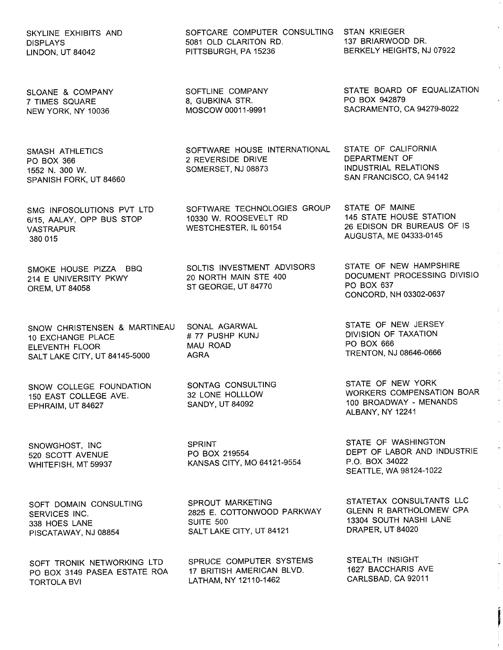SKYLINE EXHIBITS AND DISPLAYS LINDON, UT 84042

SLOANE & COMPANY 7 TIMES SQUARE NEW YORK, NY 10036

SMASH ATHLETICS PO BOX 366 1552 N. 300 W. SPANISH FORK, UT 84660

SMG INFOSOLUTIONS PVT LTD 6/15, AALAY, OPP BUS STOP VASTRAPUR 380 015

SMOKE HOUSE PIZZA BBQ 214 E UNIVERSITY PKWY OREM, UT 84058

SNOW CHRISTENSEN & MARTINEAU 10 EXCHANGE PLACE ELEVENTH FLOOR SALT LAKE CITY, UT 84145-5000

SNOW COLLEGE FOUNDATION 150 EAST COLLEGE AVE. EPHRAIM, UT 84627

SNOWGHOST, INC 520 SCOTT AVENUE WHITEFISH, MT 59937

SOFT DOMAIN CONSULTING SERVICES INC. 338 HOES LANE PISCATAWAY, NJ 08854

SOFT TRONIK NETWORKING LTD PO BOX 3149 PASEA ESTATE ROA TORTOLA BVI

SOFTCARE COMPUTER CONSULTING STAN KRIEGER<br>5081 OLD CLARITON RD. 137 BRIARWOOD DR. 5081 OLD CLARITON RD.<br>PITTSBURGH. PA 15236

SOFTLINE COMPANY 8, GUBKINA STR. MOSCOW 00011-9991

SOFTWARE HOUSE INTERNATIONAL 2 REVERSIDE DRIVE SOMERSET, NJ 08873

SOFTWARE TECHNOLOGIES GROUP 10330 W. ROOSEVELT RD WESTCHESTER, IL 60154

SOLTIS INVESTMENT ADVISORS 20 NORTH MAIN STE 400 ST GEORGE, UT 84770

SONAL AGARWAL # 77 PUSHP KUNJ MAU ROAD AGRA

SONTAG CONSULTING 32 LONE HOLLLOW SANDY, UT 84092

SPRINT PO BOX 219554 KANSAS CITY, MO 64121-9554

SPROUT MARKETING 2825 E. COTTONWOOD PARKWAY SUITE 500 SALT LAKE CITY, UT 84121

SPRUCE COMPUTER SYSTEMS 17 BRITISH AMERICAN BLVD. LATHAM, NY 12110-1462

BERKELY HEIGHTS, NJ 07922

STATE BOARD OF EQUALIZATION PO BOX 942879 SACRAMENTO, CA 94279-8022

STATE OF CALIFORNIA DEPARTMENT OF INDUSTRIAL RELATIONS SAN FRANCISCO, CA 94142

STATE OF MAINE 145 STATE HOUSE STATION 26 EDISON DR BUREAUS OF IS AUGUSTA, ME 04333-0145

STATE OF NEW HAMPSHIRE DOCUMENT PROCESSING DIVISIO PO BOX 637 CONCORD, NH 03302-0637

STATE OF NEW JERSEY DIVISION OF TAXATION PO BOX 666 TRENTON, NJ 08646-0666

STATE OF NEW YORK WORKERS COMPENSATION BOAR 100 BROADWAY - MENANDS ALBANY, NY 12241

 $\mathbb{Z}^+$ 

STATE OF WASHINGTON DEPT OF LABOR AND INDUSTRIE P.O. BOX 34022 SEATTLE, WA 98124-1022

STATETAX CONSULTANTS LLC GLENN R BARTHOLOMEW CPA 13304 SOUTH NASHI LANE DRAPER, UT 84020

STEALTH INSIGHT 1627 BACCHARIS AVE CARLSBAD, CA 92011